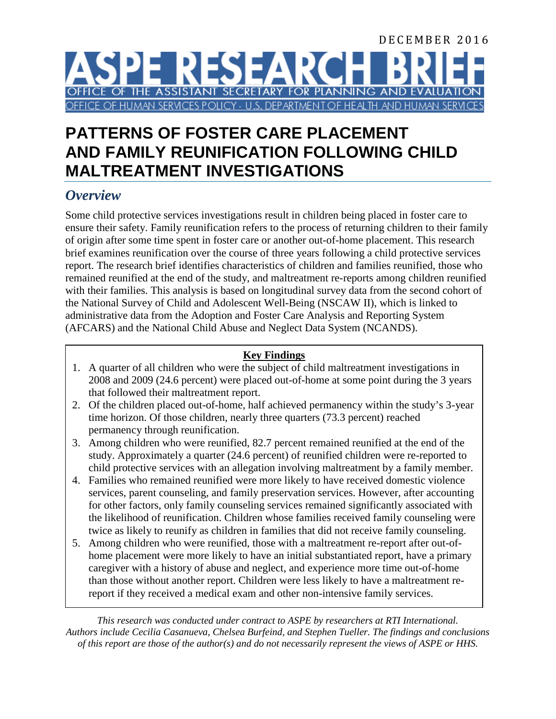# DECEMBER 2016 **SPE RESEARC** FICE OF THE ASSISTANT SECRETARY FOR PLANNING AND EVALUA OF HUMAN SERVICES POLICY - U.S. DEPARTMENT OF HEALTH AND HUMAN

# **PATTERNS OF FOSTER CARE PLACEMENT AND FAMILY REUNIFICATION FOLLOWING CHILD MALTREATMENT INVESTIGATIONS**

## *Overview*

Some child protective services investigations result in children being placed in foster care to ensure their safety. Family reunification refers to the process of returning children to their family of origin after some time spent in foster care or another out-of-home placement. This research brief examines reunification over the course of three years following a child protective services report. The research brief identifies characteristics of children and families reunified, those who remained reunified at the end of the study, and maltreatment re-reports among children reunified with their families. This analysis is based on longitudinal survey data from the second cohort of the National Survey of Child and Adolescent Well-Being (NSCAW II), which is linked to administrative data from the Adoption and Foster Care Analysis and Reporting System (AFCARS) and the National Child Abuse and Neglect Data System (NCANDS).

#### **Key Findings**

- 1. A quarter of all children who were the subject of child maltreatment investigations in 2008 and 2009 (24.6 percent) were placed out-of-home at some point during the 3 years that followed their maltreatment report.
- 2. Of the children placed out-of-home, half achieved permanency within the study's 3-year time horizon. Of those children, nearly three quarters (73.3 percent) reached permanency through reunification.
- 3. Among children who were reunified, 82.7 percent remained reunified at the end of the study. Approximately a quarter (24.6 percent) of reunified children were re-reported to child protective services with an allegation involving maltreatment by a family member.
- 4. Families who remained reunified were more likely to have received domestic violence services, parent counseling, and family preservation services. However, after accounting for other factors, only family counseling services remained significantly associated with the likelihood of reunification. Children whose families received family counseling were twice as likely to reunify as children in families that did not receive family counseling.
- 5. Among children who were reunified, those with a maltreatment re-report after out-ofhome placement were more likely to have an initial substantiated report, have a primary caregiver with a history of abuse and neglect, and experience more time out-of-home than those without another report. Children were less likely to have a maltreatment rereport if they received a medical exam and other non-intensive family services.

*This research was conducted under contract to ASPE by researchers at RTI International. Authors include Cecilia Casanueva, Chelsea Burfeind, and Stephen Tueller. The findings and conclusions of this report are those of the author(s) and do not necessarily represent the views of ASPE or HHS.*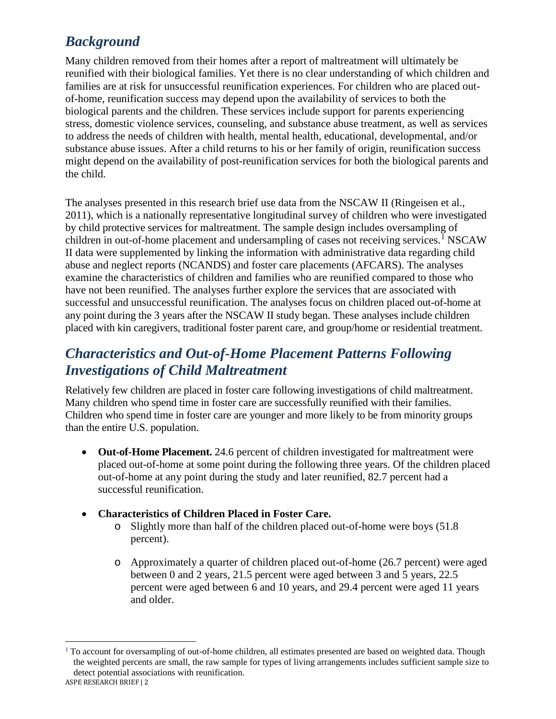## *Background*

Many children removed from their homes after a report of maltreatment will ultimately be reunified with their biological families. Yet there is no clear understanding of which children and families are at risk for unsuccessful reunification experiences. For children who are placed outof-home, reunification success may depend upon the availability of services to both the biological parents and the children. These services include support for parents experiencing stress, domestic violence services, counseling, and substance abuse treatment, as well as services to address the needs of children with health, mental health, educational, developmental, and/or substance abuse issues. After a child returns to his or her family of origin, reunification success might depend on the availability of post-reunification services for both the biological parents and the child.

The analyses presented in this research brief use data from the NSCAW II (Ringeisen et al., 2011), which is a nationally representative longitudinal survey of children who were investigated by child protective services for maltreatment. The sample design includes oversampling of children in out-of-home placement and undersampling of cases not receiving services.<sup>[1](#page-1-0)</sup> NSCAW II data were supplemented by linking the information with administrative data regarding child abuse and neglect reports (NCANDS) and foster care placements (AFCARS). The analyses examine the characteristics of children and families who are reunified compared to those who have not been reunified. The analyses further explore the services that are associated with successful and unsuccessful reunification. The analyses focus on children placed out-of-home at any point during the 3 years after the NSCAW II study began. These analyses include children placed with kin caregivers, traditional foster parent care, and group/home or residential treatment.

## *Characteristics and Out-of-Home Placement Patterns Following Investigations of Child Maltreatment*

Relatively few children are placed in foster care following investigations of child maltreatment. Many children who spend time in foster care are successfully reunified with their families. Children who spend time in foster care are younger and more likely to be from minority groups than the entire U.S. population.

- **Out-of-Home Placement.** 24.6 percent of children investigated for maltreatment were placed out-of-home at some point during the following three years. Of the children placed out-of-home at any point during the study and later reunified, 82.7 percent had a successful reunification.
- **Characteristics of Children Placed in Foster Care.**
	- o Slightly more than half of the children placed out-of-home were boys (51.8 percent).
	- o Approximately a quarter of children placed out-of-home (26.7 percent) were aged between 0 and 2 years, 21.5 percent were aged between 3 and 5 years, 22.5 percent were aged between 6 and 10 years, and 29.4 percent were aged 11 years and older.

<span id="page-1-0"></span> $1$  To account for oversampling of out-of-home children, all estimates presented are based on weighted data. Though the weighted percents are small, the raw sample for types of living arrangements includes sufficient sample size to detect potential associations with reunification.  $\overline{a}$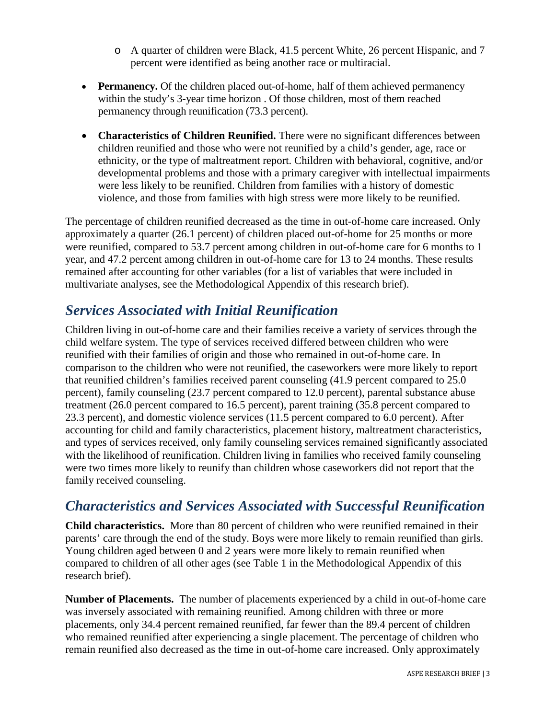- o A quarter of children were Black, 41.5 percent White, 26 percent Hispanic, and 7 percent were identified as being another race or multiracial.
- **Permanency.** Of the children placed out-of-home, half of them achieved permanency within the study's 3-year time horizon . Of those children, most of them reached permanency through reunification (73.3 percent).
- **Characteristics of Children Reunified.** There were no significant differences between children reunified and those who were not reunified by a child's gender, age, race or ethnicity, or the type of maltreatment report. Children with behavioral, cognitive, and/or developmental problems and those with a primary caregiver with intellectual impairments were less likely to be reunified. Children from families with a history of domestic violence, and those from families with high stress were more likely to be reunified.

The percentage of children reunified decreased as the time in out-of-home care increased. Only approximately a quarter (26.1 percent) of children placed out-of-home for 25 months or more were reunified, compared to 53.7 percent among children in out-of-home care for 6 months to 1 year, and 47.2 percent among children in out-of-home care for 13 to 24 months. These results remained after accounting for other variables (for a list of variables that were included in multivariate analyses, see the Methodological Appendix of this research brief).

## *Services Associated with Initial Reunification*

Children living in out-of-home care and their families receive a variety of services through the child welfare system. The type of services received differed between children who were reunified with their families of origin and those who remained in out-of-home care. In comparison to the children who were not reunified, the caseworkers were more likely to report that reunified children's families received parent counseling (41.9 percent compared to 25.0 percent), family counseling (23.7 percent compared to 12.0 percent), parental substance abuse treatment (26.0 percent compared to 16.5 percent), parent training (35.8 percent compared to 23.3 percent), and domestic violence services (11.5 percent compared to 6.0 percent). After accounting for child and family characteristics, placement history, maltreatment characteristics, and types of services received, only family counseling services remained significantly associated with the likelihood of reunification. Children living in families who received family counseling were two times more likely to reunify than children whose caseworkers did not report that the family received counseling.

## *Characteristics and Services Associated with Successful Reunification*

**Child characteristics.** More than 80 percent of children who were reunified remained in their parents' care through the end of the study. Boys were more likely to remain reunified than girls. Young children aged between 0 and 2 years were more likely to remain reunified when compared to children of all other ages (see Table 1 in the Methodological Appendix of this research brief).

**Number of Placements.** The number of placements experienced by a child in out-of-home care was inversely associated with remaining reunified. Among children with three or more placements, only 34.4 percent remained reunified, far fewer than the 89.4 percent of children who remained reunified after experiencing a single placement. The percentage of children who remain reunified also decreased as the time in out-of-home care increased. Only approximately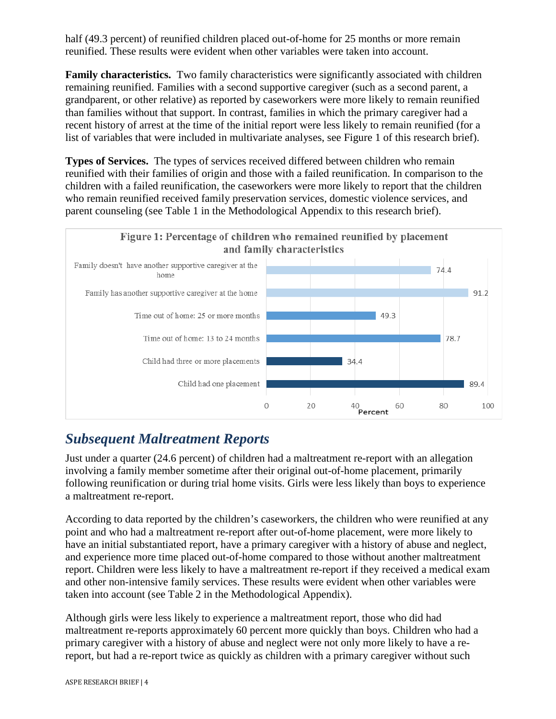half (49.3 percent) of reunified children placed out-of-home for 25 months or more remain reunified. These results were evident when other variables were taken into account.

**Family characteristics.** Two family characteristics were significantly associated with children remaining reunified. Families with a second supportive caregiver (such as a second parent, a grandparent, or other relative) as reported by caseworkers were more likely to remain reunified than families without that support. In contrast, families in which the primary caregiver had a recent history of arrest at the time of the initial report were less likely to remain reunified (for a list of variables that were included in multivariate analyses, see Figure 1 of this research brief).

**Types of Services.** The types of services received differed between children who remain reunified with their families of origin and those with a failed reunification. In comparison to the children with a failed reunification, the caseworkers were more likely to report that the children who remain reunified received family preservation services, domestic violence services, and parent counseling (see Table 1 in the Methodological Appendix to this research brief).



## *Subsequent Maltreatment Reports*

Just under a quarter (24.6 percent) of children had a maltreatment re-report with an allegation involving a family member sometime after their original out-of-home placement, primarily following reunification or during trial home visits. Girls were less likely than boys to experience a maltreatment re-report.

According to data reported by the children's caseworkers, the children who were reunified at any point and who had a maltreatment re-report after out-of-home placement, were more likely to have an initial substantiated report, have a primary caregiver with a history of abuse and neglect, and experience more time placed out-of-home compared to those without another maltreatment report. Children were less likely to have a maltreatment re-report if they received a medical exam and other non-intensive family services. These results were evident when other variables were taken into account (see Table 2 in the Methodological Appendix).

Although girls were less likely to experience a maltreatment report, those who did had maltreatment re-reports approximately 60 percent more quickly than boys. Children who had a primary caregiver with a history of abuse and neglect were not only more likely to have a rereport, but had a re-report twice as quickly as children with a primary caregiver without such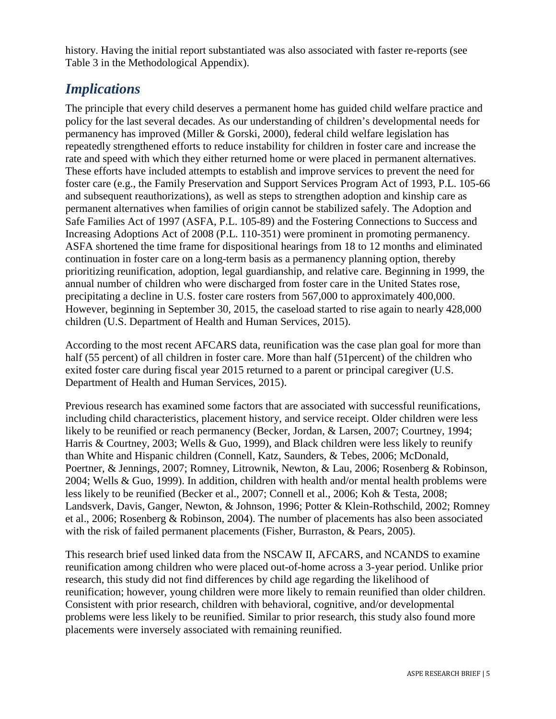history. Having the initial report substantiated was also associated with faster re-reports (see Table 3 in the Methodological Appendix).

## *Implications*

The principle that every child deserves a permanent home has guided child welfare practice and policy for the last several decades. As our understanding of children's developmental needs for permanency has improved (Miller & Gorski, 2000), federal child welfare legislation has repeatedly strengthened efforts to reduce instability for children in foster care and increase the rate and speed with which they either returned home or were placed in permanent alternatives. These efforts have included attempts to establish and improve services to prevent the need for foster care (e.g., the Family Preservation and Support Services Program Act of 1993, P.L. 105-66 and subsequent reauthorizations), as well as steps to strengthen adoption and kinship care as permanent alternatives when families of origin cannot be stabilized safely. The Adoption and Safe Families Act of 1997 (ASFA, P.L. 105-89) and the Fostering Connections to Success and Increasing Adoptions Act of 2008 (P.L. 110-351) were prominent in promoting permanency. ASFA shortened the time frame for dispositional hearings from 18 to 12 months and eliminated continuation in foster care on a long-term basis as a permanency planning option, thereby prioritizing reunification, adoption, legal guardianship, and relative care. Beginning in 1999, the annual number of children who were discharged from foster care in the United States rose, precipitating a decline in U.S. foster care rosters from 567,000 to approximately 400,000. However, beginning in September 30, 2015, the caseload started to rise again to nearly 428,000 children (U.S. Department of Health and Human Services, 2015).

According to the most recent AFCARS data, reunification was the case plan goal for more than half (55 percent) of all children in foster care. More than half (51 percent) of the children who exited foster care during fiscal year 2015 returned to a parent or principal caregiver (U.S. Department of Health and Human Services, 2015).

Previous research has examined some factors that are associated with successful reunifications, including child characteristics, placement history, and service receipt. Older children were less likely to be reunified or reach permanency (Becker, Jordan, & Larsen, 2007; Courtney, 1994; Harris & Courtney, 2003; Wells & Guo, 1999), and Black children were less likely to reunify than White and Hispanic children (Connell, Katz, Saunders, & Tebes, 2006; McDonald, Poertner, & Jennings, 2007; Romney, Litrownik, Newton, & Lau, 2006; Rosenberg & Robinson, 2004; Wells & Guo, 1999). In addition, children with health and/or mental health problems were less likely to be reunified (Becker et al., 2007; Connell et al., 2006; Koh & Testa, 2008; Landsverk, Davis, Ganger, Newton, & Johnson, 1996; Potter & Klein-Rothschild, 2002; Romney et al., 2006; Rosenberg & Robinson, 2004). The number of placements has also been associated with the risk of failed permanent placements (Fisher, Burraston, & Pears, 2005).

This research brief used linked data from the NSCAW II, AFCARS, and NCANDS to examine reunification among children who were placed out-of-home across a 3-year period. Unlike prior research, this study did not find differences by child age regarding the likelihood of reunification; however, young children were more likely to remain reunified than older children. Consistent with prior research, children with behavioral, cognitive, and/or developmental problems were less likely to be reunified. Similar to prior research, this study also found more placements were inversely associated with remaining reunified.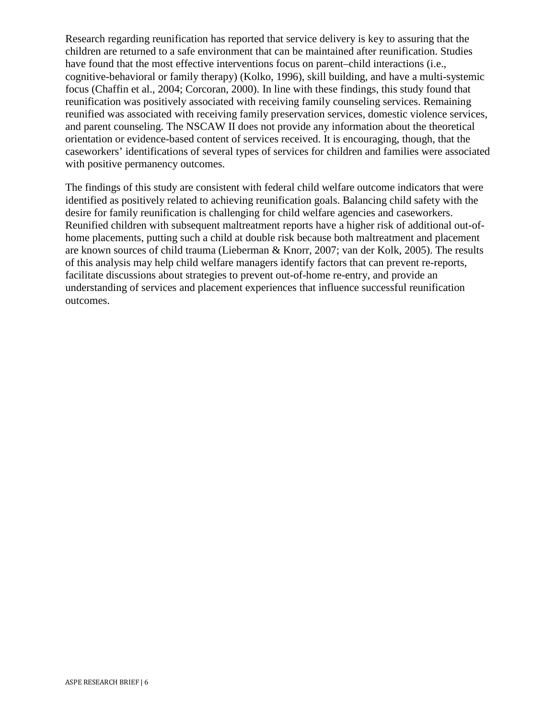Research regarding reunification has reported that service delivery is key to assuring that the children are returned to a safe environment that can be maintained after reunification. Studies have found that the most effective interventions focus on parent–child interactions (i.e., cognitive-behavioral or family therapy) (Kolko, 1996), skill building, and have a multi-systemic focus (Chaffin et al., 2004; Corcoran, 2000). In line with these findings, this study found that reunification was positively associated with receiving family counseling services. Remaining reunified was associated with receiving family preservation services, domestic violence services, and parent counseling. The NSCAW II does not provide any information about the theoretical orientation or evidence-based content of services received. It is encouraging, though, that the caseworkers' identifications of several types of services for children and families were associated with positive permanency outcomes.

The findings of this study are consistent with federal child welfare outcome indicators that were identified as positively related to achieving reunification goals. Balancing child safety with the desire for family reunification is challenging for child welfare agencies and caseworkers. Reunified children with subsequent maltreatment reports have a higher risk of additional out-ofhome placements, putting such a child at double risk because both maltreatment and placement are known sources of child trauma (Lieberman & Knorr, 2007; van der Kolk, 2005). The results of this analysis may help child welfare managers identify factors that can prevent re-reports, facilitate discussions about strategies to prevent out-of-home re-entry, and provide an understanding of services and placement experiences that influence successful reunification outcomes.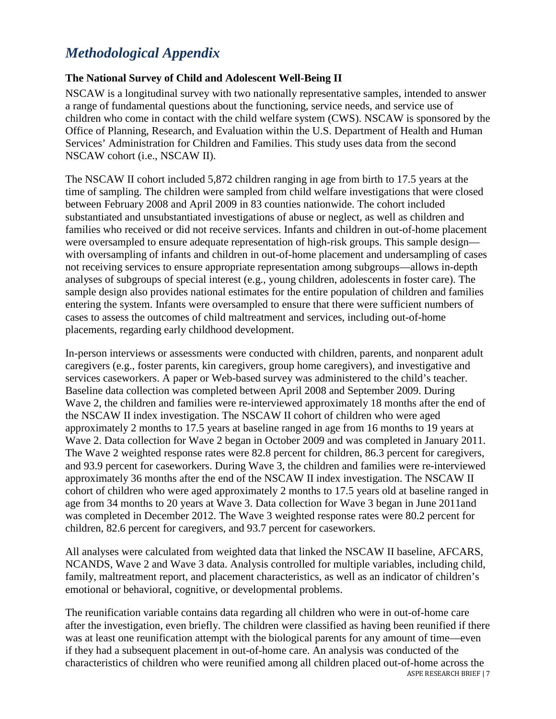### *Methodological Appendix*

#### **The National Survey of Child and Adolescent Well-Being II**

NSCAW is a longitudinal survey with two nationally representative samples, intended to answer a range of fundamental questions about the functioning, service needs, and service use of children who come in contact with the child welfare system (CWS). NSCAW is sponsored by the Office of Planning, Research, and Evaluation within the U.S. Department of Health and Human Services' Administration for Children and Families. This study uses data from the second NSCAW cohort (i.e., NSCAW II).

The NSCAW II cohort included 5,872 children ranging in age from birth to 17.5 years at the time of sampling. The children were sampled from child welfare investigations that were closed between February 2008 and April 2009 in 83 counties nationwide. The cohort included substantiated and unsubstantiated investigations of abuse or neglect, as well as children and families who received or did not receive services. Infants and children in out-of-home placement were oversampled to ensure adequate representation of high-risk groups. This sample design with oversampling of infants and children in out-of-home placement and undersampling of cases not receiving services to ensure appropriate representation among subgroups—allows in-depth analyses of subgroups of special interest (e.g., young children, adolescents in foster care). The sample design also provides national estimates for the entire population of children and families entering the system. Infants were oversampled to ensure that there were sufficient numbers of cases to assess the outcomes of child maltreatment and services, including out-of-home placements, regarding early childhood development.

In-person interviews or assessments were conducted with children, parents, and nonparent adult caregivers (e.g., foster parents, kin caregivers, group home caregivers), and investigative and services caseworkers. A paper or Web-based survey was administered to the child's teacher. Baseline data collection was completed between April 2008 and September 2009. During Wave 2, the children and families were re-interviewed approximately 18 months after the end of the NSCAW II index investigation. The NSCAW II cohort of children who were aged approximately 2 months to 17.5 years at baseline ranged in age from 16 months to 19 years at Wave 2. Data collection for Wave 2 began in October 2009 and was completed in January 2011. The Wave 2 weighted response rates were 82.8 percent for children, 86.3 percent for caregivers, and 93.9 percent for caseworkers. During Wave 3, the children and families were re-interviewed approximately 36 months after the end of the NSCAW II index investigation. The NSCAW II cohort of children who were aged approximately 2 months to 17.5 years old at baseline ranged in age from 34 months to 20 years at Wave 3. Data collection for Wave 3 began in June 2011and was completed in December 2012. The Wave 3 weighted response rates were 80.2 percent for children, 82.6 percent for caregivers, and 93.7 percent for caseworkers.

All analyses were calculated from weighted data that linked the NSCAW II baseline, AFCARS, NCANDS, Wave 2 and Wave 3 data. Analysis controlled for multiple variables, including child, family, maltreatment report, and placement characteristics, as well as an indicator of children's emotional or behavioral, cognitive, or developmental problems.

The reunification variable contains data regarding all children who were in out-of-home care after the investigation, even briefly. The children were classified as having been reunified if there was at least one reunification attempt with the biological parents for any amount of time—even if they had a subsequent placement in out-of-home care. An analysis was conducted of the characteristics of children who were reunified among all children placed out-of-home across the ASPE RESEARCH BRIEF | 7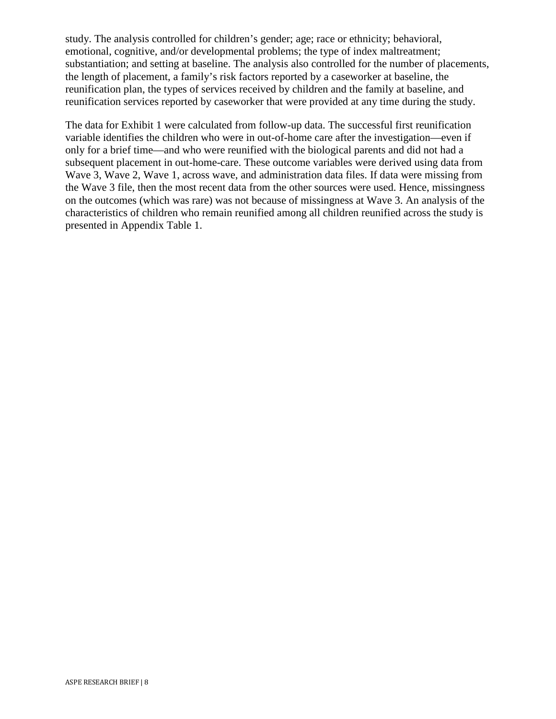study. The analysis controlled for children's gender; age; race or ethnicity; behavioral, emotional, cognitive, and/or developmental problems; the type of index maltreatment; substantiation; and setting at baseline. The analysis also controlled for the number of placements, the length of placement, a family's risk factors reported by a caseworker at baseline, the reunification plan, the types of services received by children and the family at baseline, and reunification services reported by caseworker that were provided at any time during the study.

The data for Exhibit 1 were calculated from follow-up data. The successful first reunification variable identifies the children who were in out-of-home care after the investigation—even if only for a brief time—and who were reunified with the biological parents and did not had a subsequent placement in out-home-care. These outcome variables were derived using data from Wave 3, Wave 2, Wave 1, across wave, and administration data files. If data were missing from the Wave 3 file, then the most recent data from the other sources were used. Hence, missingness on the outcomes (which was rare) was not because of missingness at Wave 3. An analysis of the characteristics of children who remain reunified among all children reunified across the study is presented in Appendix Table 1.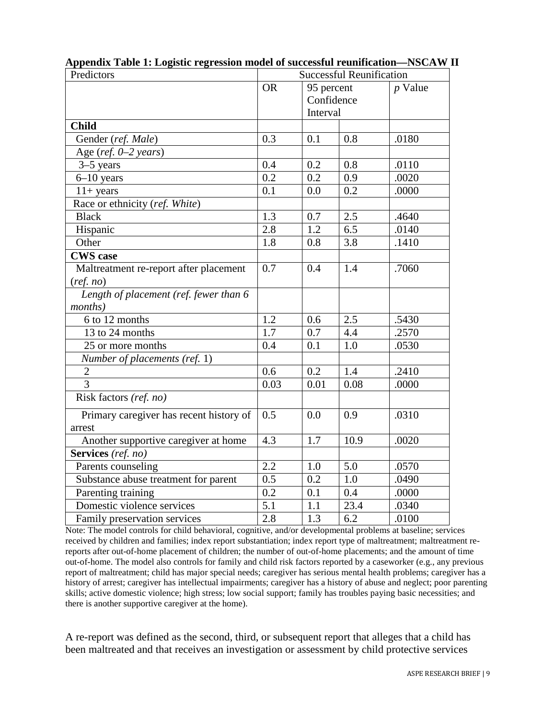| Predictors                              | <b>Successful Reunification</b> |                  |       |           |
|-----------------------------------------|---------------------------------|------------------|-------|-----------|
|                                         | <b>OR</b>                       | 95 percent       |       | $p$ Value |
|                                         |                                 | Confidence       |       |           |
|                                         |                                 | Interval         |       |           |
| <b>Child</b>                            |                                 |                  |       |           |
| Gender (ref. Male)                      | 0.3                             | 0.1              | 0.8   | .0180     |
| Age (ref. 0-2 years)                    |                                 |                  |       |           |
| $3-5$ years                             | 0.4                             | 0.2              | 0.8   | .0110     |
| $6 - 10$ years                          | 0.2                             | 0.2              | 0.9   | .0020     |
| $11+ years$                             | 0.1                             | 0.0              | 0.2   | .0000     |
| Race or ethnicity (ref. White)          |                                 |                  |       |           |
| <b>Black</b>                            | 1.3                             | 0.7              | $2.5$ | .4640     |
| Hispanic                                | 2.8                             | 1.2              | 6.5   | .0140     |
| Other                                   | 1.8                             | 0.8              | 3.8   | .1410     |
| <b>CWS</b> case                         |                                 |                  |       |           |
| Maltreatment re-report after placement  | 0.7                             | 0.4              | 1.4   | .7060     |
| (ref. no)                               |                                 |                  |       |           |
| Length of placement (ref. fewer than 6  |                                 |                  |       |           |
| <i>months</i> )                         |                                 |                  |       |           |
| 6 to 12 months                          | $\overline{1.2}$                | 0.6              | 2.5   | .5430     |
| 13 to 24 months                         | 1.7                             | 0.7              | 4.4   | .2570     |
| 25 or more months                       | 0.4                             | 0.1              | 1.0   | .0530     |
| Number of placements (ref. 1)           |                                 |                  |       |           |
| $\overline{c}$                          | 0.6                             | 0.2              | 1.4   | .2410     |
| $\overline{3}$                          | 0.03                            | 0.01             | 0.08  | .0000     |
| Risk factors (ref. no)                  |                                 |                  |       |           |
| Primary caregiver has recent history of | 0.5                             | 0.0              | 0.9   | .0310     |
| arrest                                  |                                 |                  |       |           |
| Another supportive caregiver at home    | 4.3                             | 1.7              | 10.9  | .0020     |
| Services (ref. no)                      |                                 |                  |       |           |
| Parents counseling                      | 2.2                             | 1.0              | 5.0   | .0570     |
| Substance abuse treatment for parent    | 0.5                             | 0.2              | 1.0   | .0490     |
| Parenting training                      | 0.2                             | 0.1              | 0.4   | .0000     |
| Domestic violence services              | $\overline{5.1}$                | $\overline{1.1}$ | 23.4  | .0340     |
| Family preservation services            | 2.8                             | 1.3              | 6.2   | .0100     |

**Appendix Table 1: Logistic regression model of successful reunification—NSCAW II**

Note: The model controls for child behavioral, cognitive, and/or developmental problems at baseline; services received by children and families; index report substantiation; index report type of maltreatment; maltreatment rereports after out-of-home placement of children; the number of out-of-home placements; and the amount of time out-of-home. The model also controls for family and child risk factors reported by a caseworker (e.g., any previous report of maltreatment; child has major special needs; caregiver has serious mental health problems; caregiver has a history of arrest; caregiver has intellectual impairments; caregiver has a history of abuse and neglect; poor parenting skills; active domestic violence; high stress; low social support; family has troubles paying basic necessities; and there is another supportive caregiver at the home).

A re-report was defined as the second, third, or subsequent report that alleges that a child has been maltreated and that receives an investigation or assessment by child protective services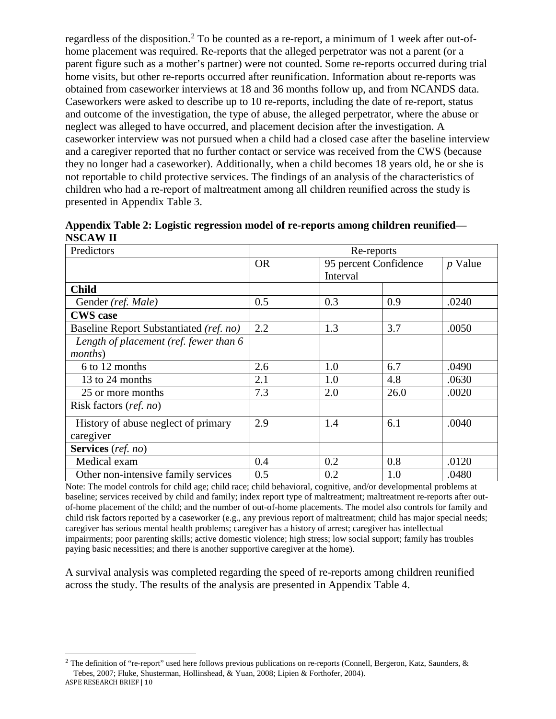regardless of the disposition.<sup>[2](#page-9-0)</sup> To be counted as a re-report, a minimum of 1 week after out-ofhome placement was required. Re-reports that the alleged perpetrator was not a parent (or a parent figure such as a mother's partner) were not counted. Some re-reports occurred during trial home visits, but other re-reports occurred after reunification. Information about re-reports was obtained from caseworker interviews at 18 and 36 months follow up, and from NCANDS data. Caseworkers were asked to describe up to 10 re-reports, including the date of re-report, status and outcome of the investigation, the type of abuse, the alleged perpetrator, where the abuse or neglect was alleged to have occurred, and placement decision after the investigation. A caseworker interview was not pursued when a child had a closed case after the baseline interview and a caregiver reported that no further contact or service was received from the CWS (because they no longer had a caseworker). Additionally, when a child becomes 18 years old, he or she is not reportable to child protective services. The findings of an analysis of the characteristics of children who had a re-report of maltreatment among all children reunified across the study is presented in Appendix Table 3.

| Predictors                              | Re-reports |                                   |      |           |  |
|-----------------------------------------|------------|-----------------------------------|------|-----------|--|
|                                         | <b>OR</b>  | 95 percent Confidence<br>Interval |      | $p$ Value |  |
|                                         |            |                                   |      |           |  |
| <b>Child</b>                            |            |                                   |      |           |  |
| Gender (ref. Male)                      | 0.5        | 0.3                               | 0.9  | .0240     |  |
| <b>CWS</b> case                         |            |                                   |      |           |  |
| Baseline Report Substantiated (ref. no) | 2.2        | 1.3                               | 3.7  | .0050     |  |
| Length of placement (ref. fewer than 6  |            |                                   |      |           |  |
| <i>months</i> )                         |            |                                   |      |           |  |
| 6 to 12 months                          | 2.6        | 1.0                               | 6.7  | .0490     |  |
| 13 to 24 months                         | 2.1        | 1.0                               | 4.8  | .0630     |  |
| 25 or more months                       | 7.3        | 2.0                               | 26.0 | .0020     |  |
| Risk factors (ref. no)                  |            |                                   |      |           |  |
| History of abuse neglect of primary     | 2.9        | 1.4                               | 6.1  | .0040     |  |
| caregiver                               |            |                                   |      |           |  |
| Services (ref. no)                      |            |                                   |      |           |  |
| Medical exam                            | 0.4        | 0.2                               | 0.8  | .0120     |  |
| Other non-intensive family services     | 0.5        | 0.2                               | 1.0  | .0480     |  |

| Appendix Table 2: Logistic regression model of re-reports among children reunified— |  |
|-------------------------------------------------------------------------------------|--|
| <b>NSCAW II</b>                                                                     |  |

Note: The model controls for child age; child race; child behavioral, cognitive, and/or developmental problems at baseline; services received by child and family; index report type of maltreatment; maltreatment re-reports after outof-home placement of the child; and the number of out-of-home placements. The model also controls for family and child risk factors reported by a caseworker (e.g., any previous report of maltreatment; child has major special needs; caregiver has serious mental health problems; caregiver has a history of arrest; caregiver has intellectual impairments; poor parenting skills; active domestic violence; high stress; low social support; family has troubles paying basic necessities; and there is another supportive caregiver at the home).

A survival analysis was completed regarding the speed of re-reports among children reunified across the study. The results of the analysis are presented in Appendix Table 4.

<span id="page-9-0"></span><sup>&</sup>lt;sup>2</sup> The definition of "re-report" used here follows previous publications on re-reports (Connell, Bergeron, Katz, Saunders, & Tebes, 2007; Fluke, Shusterman, Hollinshead, & Yuan, 2008; Lipien & Forthofer, 2004). ASPE RESEARCH BRIEF | 10  $\overline{a}$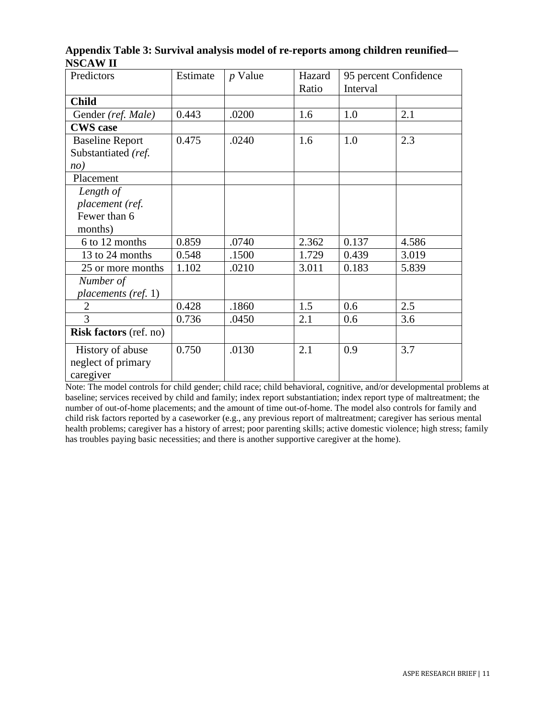| NJUA II H              |          |           |        |                       |       |
|------------------------|----------|-----------|--------|-----------------------|-------|
| Predictors             | Estimate | $p$ Value | Hazard | 95 percent Confidence |       |
|                        |          |           | Ratio  | Interval              |       |
| <b>Child</b>           |          |           |        |                       |       |
| Gender (ref. Male)     | 0.443    | .0200     | 1.6    | 1.0                   | 2.1   |
| <b>CWS</b> case        |          |           |        |                       |       |
| <b>Baseline Report</b> | 0.475    | .0240     | 1.6    | 1.0                   | 2.3   |
| Substantiated (ref.    |          |           |        |                       |       |
| nO                     |          |           |        |                       |       |
| Placement              |          |           |        |                       |       |
| Length of              |          |           |        |                       |       |
| placement (ref.        |          |           |        |                       |       |
| Fewer than 6           |          |           |        |                       |       |
| months)                |          |           |        |                       |       |
| 6 to 12 months         | 0.859    | .0740     | 2.362  | 0.137                 | 4.586 |
| 13 to 24 months        | 0.548    | .1500     | 1.729  | 0.439                 | 3.019 |
| 25 or more months      | 1.102    | .0210     | 3.011  | 0.183                 | 5.839 |

2 | 0.428 | 0.1860 | 1.5 | 0.6 | 2.5 3 | 0.736 | 0.450 | 2.1 | 0.6 | 3.6

*Number of* 

*placements (ref.* 1)

**Risk factors** (ref. no)

 History of abuse neglect of primary

caregiver

**Appendix Table 3: Survival analysis model of re-reports among children reunified— NSCAW II**

Note: The model controls for child gender; child race; child behavioral, cognitive, and/or developmental problems at baseline; services received by child and family; index report substantiation; index report type of maltreatment; the number of out-of-home placements; and the amount of time out-of-home. The model also controls for family and child risk factors reported by a caseworker (e.g., any previous report of maltreatment; caregiver has serious mental health problems; caregiver has a history of arrest; poor parenting skills; active domestic violence; high stress; family has troubles paying basic necessities; and there is another supportive caregiver at the home).

. . . . .

 $0.750$   $.0130$   $2.1$   $0.9$   $3.7$